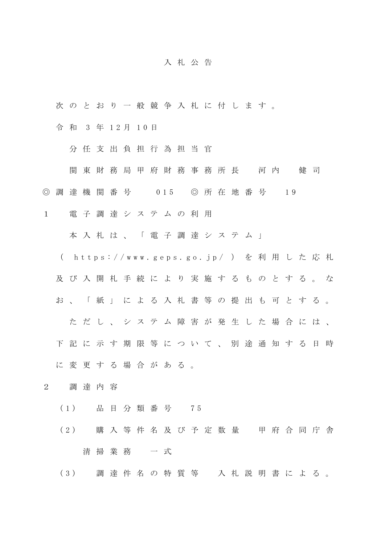## 入 札 公 告

次 の と お り 一 般 競 争 入 札 に 付 し ま す 。

令 和 3 年 1 2 月 1 0 日

分 任 支 出 負 担 行 為 担 当 官

関 東 財 務 局 甲 府 財 務 事 務 所 長 河 内 健 司

◎ 調 達 機 関 番 号 0 15 ◎ 所 在 地 番 号 19

1 電 子 調 達 シ ス テ ム の 利 用

本 入 札 は 、 「 電 子 調 達 シ ス テ ム 」

( https://www.geps.go.jp/ ) を利用した応札

及 び 入 開 札 手 続 に よ り 実 施 す る も の と す る 。 な

お 、 「 紙 」 に よ る 入 札 書 等 の 提 出 も 可 と す る 。

た だ し 、 シ ス テ ム 障 害 が 発 生 し た 場 合 に は 、

下 記 に 示 す 期 限 等 に つ い て 、 別 途 通 知 す る 日 時

に変更する場合がある。

- 2 調 達 内 容
	- ( 1 ) 品 目 分 類 番 号 7 5
	- (2) 購入等件名及び予定数量 甲府合同庁舎 清 掃 業 務 一 式

( 3 ) 調 達 件 名 の 特 質 等 入 札 説 明 書 に よ る 。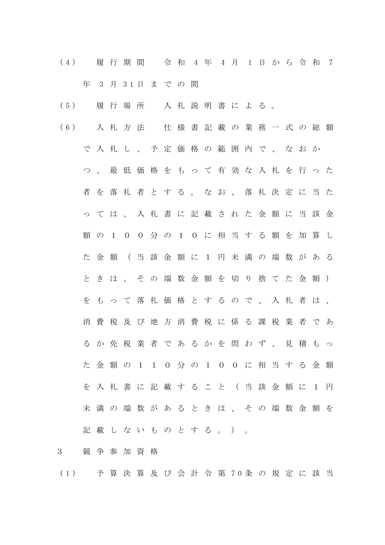( 4 ) 履 行 期 間 令 和 4 年 4 月 1 日 か ら 令 和 7 年 3 月 3 1 日 ま で の 間

- ( 5 ) 履 行 場 所 入 札 説 明 書 に よ る 。
- ( 6 ) 入 札 方 法 仕 様 書 記 載 の 業 務 一 式 の 総 額 で 入 札 し 、 予 定 価 格 の 範 囲 内 で 、 な お か つ 、 最 低 価 格 を も っ て 有 効 な 入 札 を 行 っ た 者 を 落 札 者 と す る 。 な お 、 落 札 決 定 に 当 た っ て は 、 入 札 書 に 記 載 さ れ た 金 額 に 当 該 金 額 の 1 0 0 分 の 1 0 に 相 当 す る 額 を 加 算 し た 金 額 ( 当 該 金 額 に 1 円 未 満 の 端 数 が あ る と き は 、 そ の 端 数 金 額 を 切 り 捨 て た 金 額 ) を も っ て 落 札 価 格 と す る の で 、 入 札 者 は 、 消 費 税 及 び 地 方 消 費 税 に 係 る 課 税 業 者 で あ る か 免 税 業 者 で あ る か を 問 わ ず 、 見 積 も っ た 金 額 の 1 1 0 分 の 1 0 0 に 相 当 す る 金 額 を 入 札 書 に 記 載 す る こ と ( 当 該 金 額 に 1 円 未 満 の 端 数 が あ る と き は 、 そ の 端 数 金 額 を 記載 し な い も の と す る 。 ) 。
- 3 競 争 参 加 資 格
- ( 1 ) 予 算 決 算 及 び 会 計 令 第 7 0 条 の 規 定 に 該 当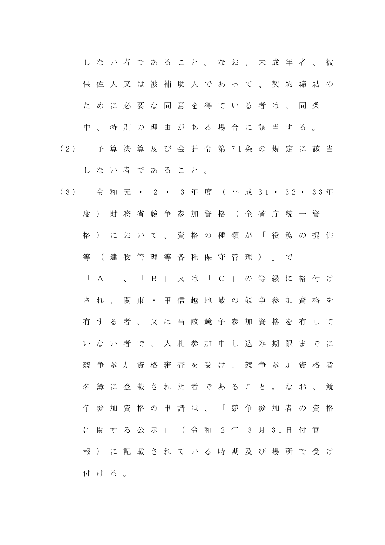し な い 者 で あ る こ と 。 な お 、 未 成 年 者 、 被 保佐人又は被補助人であって、契約締結の た め に 必 要 な 同 意 を 得 て い る 者 は 、 同 条 中 、 特 別 の 理 由 が あ る 場 合 に 該 当 す る 。

- ( 2 ) 予 算 決 算 及 び 会 計 令 第 7 1 条 の 規 定 に 該 当 し な い 者 で あ る こ と 。
- ( 3 ) 令 和 元 ・ 2 ・ 3 年 度 ( 平 成 3 1 ・ 3 2 ・ 3 3 年 度 ) 財 務 省 競 争 参 加 資 格 ( 全 省 庁 統 一 資 格 ) に お い て 、 資 格 の 種 類 が 「 役 務 の 提 供 等 ( 建 物 管 理 等 各 種 保 守 管 理 ) 」 で 「 A 」 、 「 B 」 又 は 「 C 」 の 等 級 に 格 付 け さ れ 、 関 東 ・ 甲 信 越 地 域 の 競 争 参 加 資 格 を 有 す る 者 、 又 は 当 該 競 争 参 加 資 格 を 有 し て い な い 者 で 、 入 札 参 加 申 し 込 み 期 限 ま で に 競争 参 加 資 格 審 査 を 受 け 、 競 争 参 加 資 格 者 名 簿 に 登 載 さ れ た 者 で あ る こ と 。 な お 、 競 争 参 加 資 格 の 申 請 は 、 「 競 争 参 加 者 の 資 格 に 関 す る 公 示 」 ( 令 和 2 年 3 月 3 1 日 付 官 報 ) に 記 載 さ れ て い る 時 期 及 び 場 所 で 受 け 付 け る 。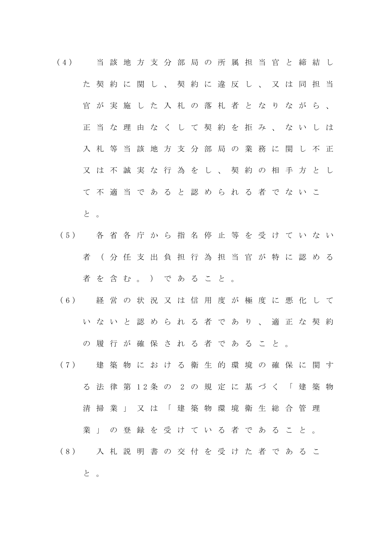- ( 4 ) 当 該 地 方 支 分 部 局 の 所 属 担 当 官 と 締 結 し た 契 約 に 関 し 、 契 約 に 違 反 し 、 又 は 同 担 当 官 が 実 施 し た 入 札 の 落 札 者 と な り な が ら 、 正 当 な 理 由 な く し て 契 約 を 拒 み 、 な い し は 入 札 等 当 該 地 方 支 分 部 局 の 業 務 に 関 し 不 正 又 は 不 誠 実 な 行 為 を し 、 契 約 の 相 手 方 と し て 不 適 当 で あ る と 認 め ら れ る 者 で な い こ と 。
- ( 5 ) 各 省 各 庁 か ら 指 名 停 止 等 を 受 け て い な い 者 ( 分 任 支 出 負 担 行 為 担 当 官 が 特 に 認 め る 者 を 含 む 。 ) で あ る こ と 。
- ( 6 ) 経 営 の 状 況 又 は 信 用 度 が 極 度 に 悪 化 し て い な い と 認 め ら れ る 者 で あ り 、 適 正 な 契 約 の 履 行 が 確 保 さ れ る 者 で あ る こ と 。
- ( 7 ) 建 築 物 に お け る 衛 生 的 環 境 の 確 保 に 関 す る 法 律 第 1 2 条 の 2 の 規 定 に 基 づ く 「 建 築 物 清掃業」又は「建築物環境衛生総合管理 業 」 の 登 録 を 受 け て い る 者 で あ る こ と 。 ( 8 ) 入 札 説 明 書 の 交 付 を 受 け た 者 で あ る こ

と 。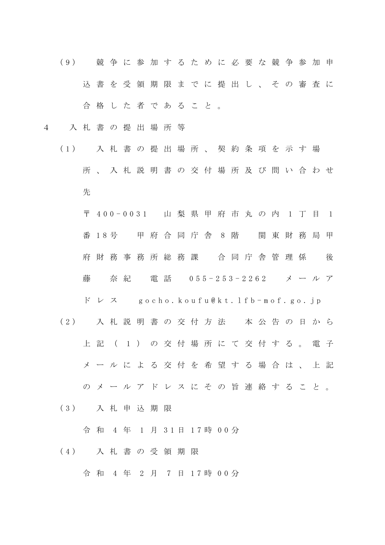- ( 9 ) 競 争 に 参 加 す る た め に 必 要 な 競 争 参 加 申 込 書 を 受 領 期 限 ま で に 提 出 し 、 そ の 審 査 に 合 格 し た 者 で あ る こ と 。
- 4 入 札 書 の 提 出 場 所 等
	- ( 1 ) 入 札 書 の 提 出 場 所 、 契 約 条 項 を 示 す 場 所 、 入 札 説 明 書 の 交 付 場 所 及 び 問 い 合 わ せ 先

〒 400-0031 山梨県甲府市丸の内 1丁目 1 番 1 8 号 甲 府 合 同 庁 舎 8 階 関 東 財 務 局 甲 府 財 務 事 務 所 総 務 課 合 同 庁 舎 管 理 係 後 藤 奈紀 電話 055-253-2262 メールア

 $F V Z$  gocho.koufu@kt.lfb-mof.go.jp

- ( 2 ) 入 札 説 明 書 の 交 付 方 法 本 公 告 の 日 か ら 上 記 ( 1 ) の 交 付 場 所 に て 交 付 す る 。 電 子 メ ー ル に よ る 交 付 を 希 望 す る 場 合 は 、 上 記 の メ ー ル ア ド レ ス に そ の 旨 連 絡 す る こ と 。
- ( 3 ) 入 札 申 込 期 限

令 和 4 年 1 月 3 1 日 1 7 時 0 0 分

( 4 ) 入 札 書 の 受 領 期 限

令 和 4 年 2 月 7 日 1 7 時 0 0 分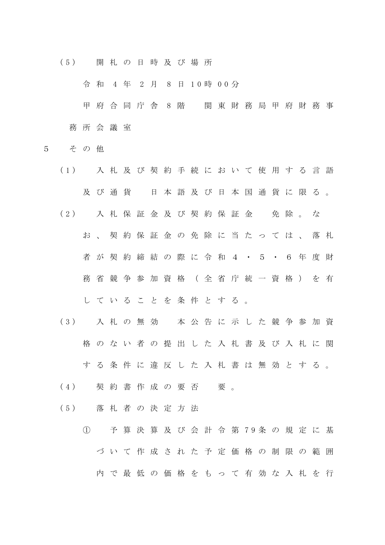( 5 ) 開 札 の 日 時 及 び 場 所

令 和 4 年 2 月 8 日 1 0 時 0 0 分

甲 府 合 同 庁 舎 8 階 関 東 財 務 局 甲 府 財 務 事 務 所 会 議 室

- 5 そ の 他
	- ( 1 ) 入 札 及 び 契 約 手 続 に お い て 使 用 す る 言 語 及 び 通 貨 日 本 語 及 び 日 本 国 通 貨 に 限 る 。 (2) 入札保証金及び契約保証金 免除。な お 、 契 約 保 証 金 の 免 除 に 当 た っ て は 、 落 札 者 が 契 約 締 結 の 際 に 令 和 4 ・ 5 ・ 6 年 度 財 務 省 競 争 参 加 資 格 ( 全 省 庁 統 一 資 格 ) を 有 し て い る こ と を 条 件 と す る 。
	- ( 3 ) 入 札 の 無 効 本 公 告 に 示 し た 競 争 参 加 資 格 の な い 者 の 提 出 し た 入 札 書 及 び 入 札 に 関 す る 条 件 に 違 反 し た 入 札 書 は 無 効 と す る 。
	- (4) 契約書作成の要否 要。
	- ( 5 ) 落 札 者 の 決 定 方 法
		- ① 予 算 決 算 及 び 会 計 令 第 7 9 条 の 規 定 に 基 づ い て 作 成 さ れ た 予 定 価 格 の 制 限 の 範 囲 内 で 最 低 の 価 格 を も っ て 有 効 な 入 札 を 行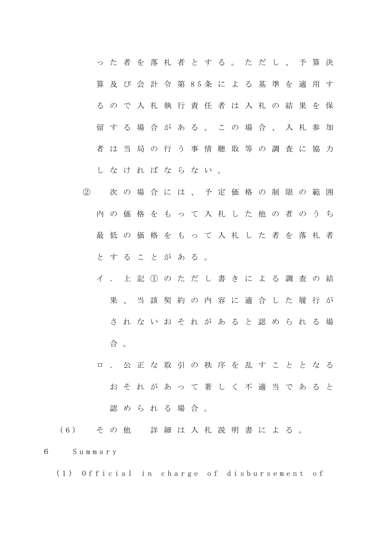|  |  |  | っ た 者 を 落 札 者 と す る 。 た だ し 、 予 算 決   |  |  |  |  |  |
|--|--|--|---------------------------------------|--|--|--|--|--|
|  |  |  | 算 及 び 会 計 令 第 8 5 条 に よ る 基 準 を 適 用 す |  |  |  |  |  |
|  |  |  | るので入札執行責任者は入札の結果を保                    |  |  |  |  |  |
|  |  |  | 留する場合がある。この場合、入札参加                    |  |  |  |  |  |
|  |  |  | 者は当局の行う事情聴取等の調査に協力                    |  |  |  |  |  |
|  |  |  | しなければならない。                            |  |  |  |  |  |

- ② 次 の 場 合 に は 、 予 定 価 格 の 制 限 の 範 囲 内 の 価 格 を も っ て 入 札 し た 他 の 者 の う ち 最 低 の 価 格 を も っ て 入 札 し た 者 を 落 札 者 と す る こ と が あ る 。
	- イ . 上 記 ① の た だ し 書 き に よ る 調 査 の 結 果 、 当 該 契 約 の 内 容 に 適 合 し た 履 行 が さ れ な い お そ れ が あ る と 認 め ら れ る 場 合 。
	- ロ . 公 正 な 取 引 の 秩 序 を 乱 す こ と と な る お そ れ が あ っ て 著 し く 不 適 当 で あ る と 認められる場合。

( 6 ) そ の 他 詳 細 は 入 札 説 明 書 に よ る 。

6 S u m m a r y

(1) Official in charge of disbursement of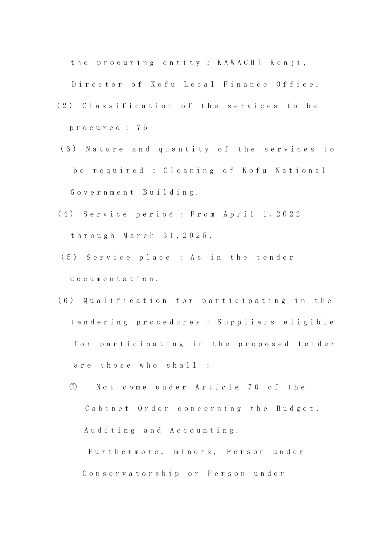the procuring entity : KAWACHI Kenji,

Director of Kofu Local Finance Office.

- (2) Classification of the services to be p r o c u r e d : 7 5
- (3) Nature and quantity of the services to be required : Cleaning of Kofu National G o v e r n m e n t B u i l d i n g .
- (4) Service period : From April 1, 2022 t h r o u g h M a r c h 3 1 , 2 0 2 5 .
- (5) Service place : As in the tender do cumentation.
- (6) Qualification for participating in the t e n d e r i n g p r o c e d u r e s : S u p p l i e r s e l i g i b l e for participating in the proposed tender are those who shall :
	- ① N o t c o m e u n d e r A r t i c l e 7 0 o f t h e Cabinet Order concerning the Budget, Auditing and Accounting. Furthermore, minors, Person under

Conservatorship or Person under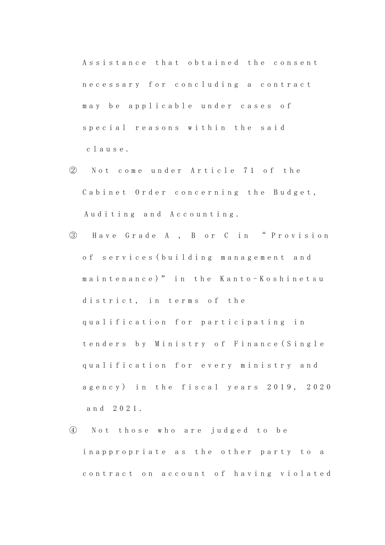Assistance that obtained the consent n e c e s s a r y f o r c o n c l u d i n g a c o n t r a c t may be applicable under cases of special reasons within the said c l a u s e .

- ② N o t c o m e u n d e r A r t i c l e 7 1 o f t h e Cabinet Order concerning the Budget, Auditing and Accounting.
- ③ H a v e G r a d e A , B o r C i n " P r o v i s i o n o f s e r v i c e s ( b u i l d i n g m a n a g e m e n t a n d maintenance)" in the Kanto-Koshinetsu district, in terms of the qualification for participating in t e n d e r s b y Ministry of Finance (Single qualification for every ministry and agency) in the fiscal years 2019, 2020 a n d 2 0 2 1 .
- ④ N o t t h o s e w h o a r e j u d g e d t o b e inappropriate as the other party to a contract on account of having violated